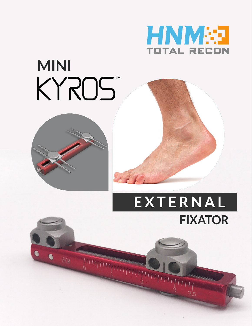

# MINI<br>KYROS



BKM

## **EXTERNAL FIXATOR**

TE C